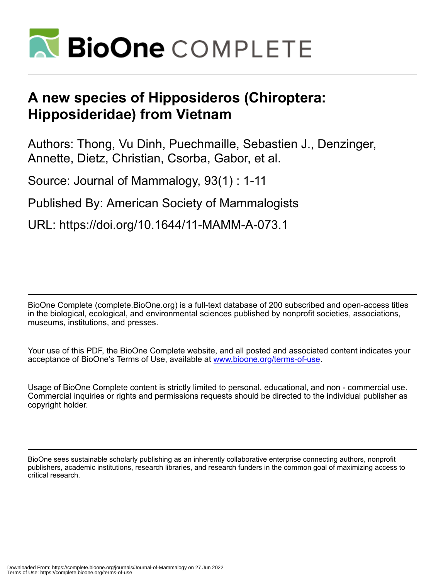

# **A new species of Hipposideros (Chiroptera: Hipposideridae) from Vietnam**

Authors: Thong, Vu Dinh, Puechmaille, Sebastien J., Denzinger, Annette, Dietz, Christian, Csorba, Gabor, et al.

Source: Journal of Mammalogy, 93(1) : 1-11

Published By: American Society of Mammalogists

URL: https://doi.org/10.1644/11-MAMM-A-073.1

BioOne Complete (complete.BioOne.org) is a full-text database of 200 subscribed and open-access titles in the biological, ecological, and environmental sciences published by nonprofit societies, associations, museums, institutions, and presses.

Your use of this PDF, the BioOne Complete website, and all posted and associated content indicates your acceptance of BioOne's Terms of Use, available at www.bioone.org/terms-of-use.

Usage of BioOne Complete content is strictly limited to personal, educational, and non - commercial use. Commercial inquiries or rights and permissions requests should be directed to the individual publisher as copyright holder.

BioOne sees sustainable scholarly publishing as an inherently collaborative enterprise connecting authors, nonprofit publishers, academic institutions, research libraries, and research funders in the common goal of maximizing access to critical research.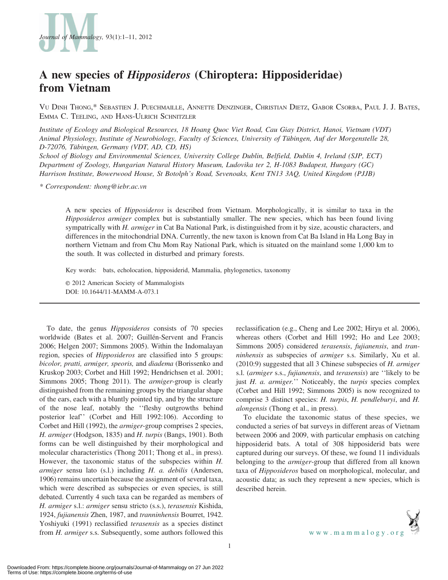

# A new species of Hipposideros (Chiroptera: Hipposideridae) from Vietnam

VU DINH THONG,\* SEBASTIEN J. PUECHMAILLE, ANNETTE DENZINGER, CHRISTIAN DIETZ, GABOR CSORBA, PAUL J. J. BATES, EMMA C. TEELING, AND HANS-ULRICH SCHNITZLER

Institute of Ecology and Biological Resources, 18 Hoang Quoc Viet Road, Cau Giay District, Hanoi, Vietnam (VDT) Animal Physiology, Institute of Neurobiology, Faculty of Sciences, University of Tübingen, Auf der Morgenstelle 28, D-72076, Tübingen, Germany (VDT, AD, CD, HS)

School of Biology and Environmental Sciences, University College Dublin, Belfield, Dublin 4, Ireland (SJP, ECT) Department of Zoology, Hungarian Natural History Museum, Ludovika ter 2, H-1083 Budapest, Hungary (GC) Harrison Institute, Bowerwood House, St Botolph's Road, Sevenoaks, Kent TN13 3AQ, United Kingdom (PJJB)

\* Correspondent: thong@iebr.ac.vn

A new species of Hipposideros is described from Vietnam. Morphologically, it is similar to taxa in the Hipposideros armiger complex but is substantially smaller. The new species, which has been found living sympatrically with H. armiger in Cat Ba National Park, is distinguished from it by size, acoustic characters, and differences in the mitochondrial DNA. Currently, the new taxon is known from Cat Ba Island in Ha Long Bay in northern Vietnam and from Chu Mom Ray National Park, which is situated on the mainland some 1,000 km to the south. It was collected in disturbed and primary forests.

Key words: bats, echolocation, hipposiderid, Mammalia, phylogenetics, taxonomy

E 2012 American Society of Mammalogists DOI: 10.1644/11-MAMM-A-073.1

To date, the genus Hipposideros consists of 70 species worldwide (Bates et al. 2007; Guillén-Servent and Francis 2006; Helgen 2007; Simmons 2005). Within the Indomalayan region, species of Hipposideros are classified into 5 groups: bicolor, pratti, armiger, speoris, and diadema (Borissenko and Kruskop 2003; Corbet and Hill 1992; Hendrichsen et al. 2001; Simmons 2005; Thong 2011). The armiger-group is clearly distinguished from the remaining groups by the triangular shape of the ears, each with a bluntly pointed tip, and by the structure of the nose leaf, notably the ''fleshy outgrowths behind posterior leaf'' (Corbet and Hill 1992:106). According to Corbet and Hill (1992), the armiger-group comprises 2 species, H. armiger (Hodgson, 1835) and H. turpis (Bangs, 1901). Both forms can be well distinguished by their morphological and molecular characteristics (Thong 2011; Thong et al., in press). However, the taxonomic status of the subspecies within H. armiger sensu lato (s.l.) including H. a. debilis (Andersen, 1906) remains uncertain because the assignment of several taxa, which were described as subspecies or even species, is still debated. Currently 4 such taxa can be regarded as members of H. armiger s.l.: armiger sensu stricto (s.s.), terasensis Kishida, 1924, fujianensis Zhen, 1987, and tranninhensis Bourret, 1942. Yoshiyuki (1991) reclassified terasensis as a species distinct from H. armiger s.s. Subsequently, some authors followed this reclassification (e.g., Cheng and Lee 2002; Hiryu et al. 2006), whereas others (Corbet and Hill 1992; Ho and Lee 2003; Simmons 2005) considered terasensis, fujianensis, and tranninhensis as subspecies of armiger s.s. Similarly, Xu et al. (2010:9) suggested that all 3 Chinese subspecies of H. armiger s.l. (armiger s.s., fujianensis, and terasensis) are ''likely to be just H. a. armiger." Noticeably, the turpis species complex (Corbet and Hill 1992; Simmons 2005) is now recognized to comprise 3 distinct species: H. turpis, H. pendleburyi, and H. alongensis (Thong et al., in press).

To elucidate the taxonomic status of these species, we conducted a series of bat surveys in different areas of Vietnam between 2006 and 2009, with particular emphasis on catching hipposiderid bats. A total of 308 hipposiderid bats were captured during our surveys. Of these, we found 11 individuals belonging to the *armiger*-group that differed from all known taxa of Hipposideros based on morphological, molecular, and acoustic data; as such they represent a new species, which is described herein.

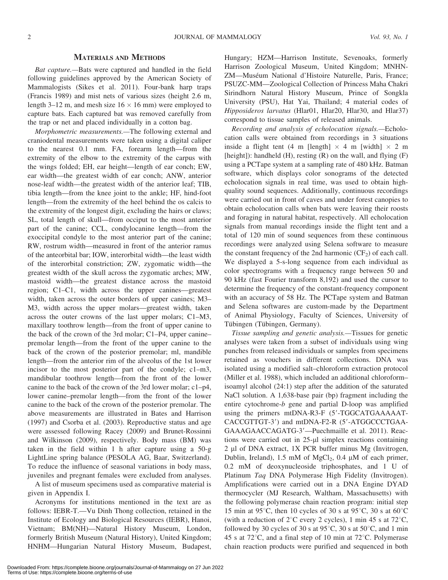# MATERIALS AND METHODS

Bat capture.—Bats were captured and handled in the field following guidelines approved by the American Society of Mammalogists (Sikes et al. 2011). Four-bank harp traps (Francis 1989) and mist nets of various sizes (height 2.6 m, length 3–12 m, and mesh size  $16 \times 16$  mm) were employed to capture bats. Each captured bat was removed carefully from the trap or net and placed individually in a cotton bag.

Morphometric measurements.—The following external and craniodental measurements were taken using a digital caliper to the nearest 0.1 mm. FA, forearm length—from the extremity of the elbow to the extremity of the carpus with the wings folded; EH, ear height—length of ear conch; EW, ear width—the greatest width of ear conch; ANW, anterior nose-leaf width—the greatest width of the anterior leaf; TIB, tibia length—from the knee joint to the ankle; HF, hind-foot length—from the extremity of the heel behind the os calcis to the extremity of the longest digit, excluding the hairs or claws; SL, total length of skull—from occiput to the most anterior part of the canine; CCL, condylocanine length—from the exoccipital condyle to the most anterior part of the canine; RW, rostrum width—measured in front of the anterior ramus of the anteorbital bar; IOW, interorbital width—the least width of the interorbital constriction; ZW, zygomatic width—the greatest width of the skull across the zygomatic arches; MW, mastoid width—the greatest distance across the mastoid region; C1–C1, width across the upper canines—greatest width, taken across the outer borders of upper canines; M3– M3, width across the upper molars—greatest width, taken across the outer crowns of the last upper molars; C1–M3, maxillary toothrow length—from the front of upper canine to the back of the crown of the 3rd molar; C1–P4, upper canine– premolar length—from the front of the upper canine to the back of the crown of the posterior premolar; ml, mandible length—from the anterior rim of the alveolus of the 1st lower incisor to the most posterior part of the condyle; c1–m3, mandibular toothrow length—from the front of the lower canine to the back of the crown of the 3rd lower molar; c1–p4, lower canine–premolar length—from the front of the lower canine to the back of the crown of the posterior premolar. The above measurements are illustrated in Bates and Harrison (1997) and Csorba et al. (2003). Reproductive status and age were assessed following Racey (2009) and Brunet-Rossinni and Wilkinson (2009), respectively. Body mass (BM) was taken in the field within 1 h after capture using a 50-g LightLine spring balance (PESOLA AG, Baar, Switzerland). To reduce the influence of seasonal variations in body mass, juveniles and pregnant females were excluded from analyses.

A list of museum specimens used as comparative material is given in Appendix I.

Acronyms for institutions mentioned in the text are as follows: IEBR-T.—Vu Dinh Thong collection, retained in the Institute of Ecology and Biological Resources (IEBR), Hanoi, Vietnam; BM(NH)—Natural History Museum, London, formerly British Museum (Natural History), United Kingdom; HNHM—Hungarian Natural History Museum, Budapest, Hungary; HZM—Harrison Institute, Sevenoaks, formerly Harrison Zoological Museum, United Kingdom; MNHN-ZM—Muséum National d'Histoire Naturelle, Paris, France; PSUZC-MM—Zoological Collection of Princess Maha Chakri Sirindhorn Natural History Museum, Prince of Songkla University (PSU), Hat Yai, Thailand; 4 material codes of Hipposideros larvatus (Hlar01, Hlar20, Hlar30, and Hlar37) correspond to tissue samples of released animals.

Recording and analysis of echolocation signals.—Echolocation calls were obtained from recordings in 3 situations inside a flight tent (4 m [length]  $\times$  4 m [width]  $\times$  2 m [height]): handheld  $(H)$ , resting  $(R)$  on the wall, and flying  $(F)$ using a PCTape system at a sampling rate of 480 kHz. Batman software, which displays color sonograms of the detected echolocation signals in real time, was used to obtain highquality sound sequences. Additionally, continuous recordings were carried out in front of caves and under forest canopies to obtain echolocation calls when bats were leaving their roosts and foraging in natural habitat, respectively. All echolocation signals from manual recordings inside the flight tent and a total of 120 min of sound sequences from these continuous recordings were analyzed using Selena software to measure the constant frequency of the 2nd harmonic  $(CF_2)$  of each call. We displayed a 5-s-long sequence from each individual as color spectrograms with a frequency range between 50 and 90 kHz (fast Fourier transform 8,192) and used the cursor to determine the frequency of the constant-frequency component with an accuracy of 58 Hz. The PCTape system and Batman and Selena softwares are custom-made by the Department of Animal Physiology, Faculty of Sciences, University of Tübingen (Tübingen, Germany).

Tissue sampling and genetic analysis.—Tissues for genetic analyses were taken from a subset of individuals using wing punches from released individuals or samples from specimens retained as vouchers in different collections. DNA was isolated using a modified salt–chloroform extraction protocol (Miller et al. 1988), which included an additional chloroform– isoamyl alcohol (24:1) step after the addition of the saturated NaCl solution. A 1,638-base pair (bp) fragment including the entire cytochrome-b gene and partial D-loop was amplified using the primers mtDNA-R3-F  $(5'$ -TGGCATGAAAAAT-CACCGTTGT-3') and mtDNA-F2-R (5'-ATGGCCCTGAA-GAAAGAACCAGATG-3'-Puechmaille et al. 2011). Reactions were carried out in 25-µl simplex reactions containing 2 µl of DNA extract, 1X PCR buffer minus Mg (Invitrogen, Dublin, Ireland), 1.5 mM of  $MgCl<sub>2</sub>$ , 0.4 µM of each primer, 0.2 mM of deoxynucleoside triphosphates, and 1 U of Platinum Taq DNA Polymerase High Fidelity (Invitrogen). Amplifications were carried out in a DNA Engine DYAD thermocycler (MJ Research, Waltham, Massachusetts) with the following polymerase chain reaction program: initial step 15 min at 95 $\degree$ C, then 10 cycles of 30 s at 95 $\degree$ C, 30 s at 60 $\degree$ C (with a reduction of  $2^{\circ}$ C every 2 cycles), 1 min 45 s at 72 $^{\circ}$ C, followed by 30 cycles of 30 s at  $95^{\circ}$ C, 30 s at  $50^{\circ}$ C, and 1 min 45 s at  $72^{\circ}$ C, and a final step of 10 min at  $72^{\circ}$ C. Polymerase chain reaction products were purified and sequenced in both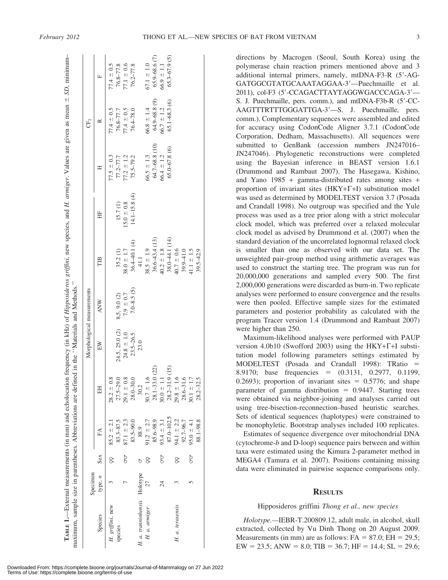|                              | Specimen        |     |                |                       |                | Morphological measurements |                   |                   |                   | CF,              |                  |
|------------------------------|-----------------|-----|----------------|-----------------------|----------------|----------------------------|-------------------|-------------------|-------------------|------------------|------------------|
| Species                      | type, n         | Sex | £Á             | HH                    | EW             | <b>ANW</b>                 | TШ                | ₩                 |                   |                  | 匚                |
| H. griffini, new             |                 | 8   | $85.2 \pm 2.1$ | $28.2 \pm 0.8$        |                |                            |                   |                   | $77.5 \pm 0.3$    | $77.4 \pm 0.5$   | $77.4 \pm 0.5$   |
| species                      |                 |     | $83.3 - 87.5$  | $27.5 - 29.0$         | 24.5, 25.0 (2) | 8.5, 9.0 (2)               | 35.2(1)           | 15.7(1)           | $77.2 - 77.7$     | 76.8-77.7        | 76.8-77.8        |
|                              |                 | ð   | $87.1 \pm 2.3$ | $29.1 \pm 0.8$        | $24.8 \pm 1.0$ | $7.9 \pm 0.7$              | $38.0 \pm 1.7$    | $15.0 \pm 0.8$    | $77.2 \pm 1.2$    | $7.4 \pm 0.5$    | $7.1 \pm 0.6$    |
|                              |                 |     | 83.5-90.0      | $28.0 - 30.0$         | $23.5 - 26.5$  | $7.0 - 8.5(5)$             | $36.4 - 40.1(4)$  | $14.1 - 15.8$ (4) | $75.5 - 79.2$     | 76.4-78.0        | 76.2-77.8        |
| H. a. tranninhensis Holotype |                 | ð   | 88.9           | 30.2                  | 23.0           |                            | 41.1              |                   |                   |                  |                  |
| H. a. armiger                | 27              | 8   | $91.2 \pm 2.7$ | $30.7 \pm 1.6$        |                |                            | $38.5 \pm 1.9$    |                   | $66.5 \pm 1.3$    | $66.8 \pm 1.4$   | $67.1 \pm 1.0$   |
|                              |                 |     | 85.6-98.9      | (22)<br>$28.1 - 33.0$ |                |                            | $36.6 - 43.4(13)$ |                   | 64.7-68.8 (10)    | $64.9 - 68.8(9)$ | $65.9 - 68.6(7)$ |
|                              | $\overline{24}$ | ð   | $93.4 \pm 3.1$ | $30.0 \pm 1.1$        |                |                            | $40.2 \pm 1.8$    |                   | $66.4 \pm 1.2$    | $66.7 \pm 1.2$   | $66.9 \pm 1.1$   |
|                              |                 |     | 87.0-102.5     | (15)<br>$28.2 - 31.9$ |                |                            | 38.0-44.1 (14)    |                   | $65.0 - 67.8$ (6) | $65.1 - 68.3(6)$ | $65.3 - 67.9(5)$ |
| H. a. terasensis             |                 | 8   | $94.1 \pm 2.2$ | $29.8 \pm 1.6$        |                |                            | $40.7 \pm 0.6$    |                   |                   |                  |                  |
|                              |                 |     | 92.7-96.7      | $28,6 - 31,6$         |                |                            | 39.9-41.0         |                   |                   |                  |                  |
|                              |                 | ðQ  | $95.0 \pm 4.1$ | $30.1 \pm 1.7$        |                |                            | $41.1 \pm 1.5$    |                   |                   |                  |                  |
|                              |                 |     | 88.1-98.8      | $28.2 - 32.5$         |                |                            | $39.5 - 42.9$     |                   |                   |                  |                  |

polymerase chain reaction primers mentioned above and 3 additional internal primers, namely, mtDNA-F3-R  $(5'-AG$ -GATGGCGTATGCAAATAGGAA-3'-Puechmaille et al. 2011), col-F3 (5'-CCAGACTTAYTAGGWGACCCAGA-3'-S. J. Puechmaille, pers. comm.), and mtDNA-F3b-R (5'-CC-AAGTTTRTTTGGGATTGA-3'-S. J. Puechmaille, pers. comm.). Complementary sequences were assembled and edited for accuracy using CodonCode Aligner 3.7.1 (CodonCode Corporation, Dedham, Massachusetts). All sequences were submitted to GenBank (accession numbers JN247016– JN247046). Phylogenetic reconstructions were completed using the Bayesian inference in BEAST version 1.6.1 (Drummond and Rambaut 2007). The Hasegawa, Kishino, and Yano 1985 + gamma-distributed rates among sites + proportion of invariant sites  $(HKY+\Gamma+I)$  substitution model was used as determined by MODELTEST version 3.7 (Posada and Crandall 1998). No outgroup was specified and the Yule process was used as a tree prior along with a strict molecular clock model, which was preferred over a relaxed molecular clock model as advised by Drummond et al. (2007) when the standard deviation of the uncorrelated lognormal relaxed clock is smaller than one as observed with our data set. The unweighted pair-group method using arithmetic averages was used to construct the starting tree. The program was run for 20,000,000 generations and sampled every 500. The first 2,000,000 generations were discarded as burn-in. Two replicate analyses were performed to ensure convergence and the results were then pooled. Effective sample sizes for the estimated parameters and posterior probability as calculated with the program Tracer version 1.4 (Drummond and Rambaut 2007) were higher than 250.

directions by Macrogen (Seoul, South Korea) using the

Maximum-likelihood analyses were performed with PAUP version 4.0b10 (Swofford 2003) using the  $HKY+\Gamma+I$  substitution model following parameters settings estimated by MODELTEST (Posada and Crandall 1998): TRatio = 8.9170; base frequencies  $=$   $(0.3131, 0.2977, 0.1199,$ 0.2693); proportion of invariant sites  $= 0.5776$ ; and shape parameter of gamma distribution  $= 0.9447$ . Starting trees were obtained via neighbor-joining and analyses carried out using tree-bisection-reconnection–based heuristic searches. Sets of identical sequences (haplotypes) were constrained to be monophyletic. Bootstrap analyses included 100 replicates.

Estimates of sequence divergence over mitochondrial DNA (cytochrome-b and D-loop) sequence pairs between and within taxa were estimated using the Kimura 2-parameter method in MEGA4 (Tamura et al. 2007). Positions containing missing data were eliminated in pairwise sequence comparisons only.

## **RESULTS**

#### Hipposideros griffini Thong et al., new species

Holotype.—IEBR-T.200809.12, adult male, in alcohol, skull extracted, collected by Vu Dinh Thong on 20 August 2009. Measurements (in mm) are as follows:  $FA = 87.0$ ;  $EH = 29.5$ ; EW = 23.5; ANW = 8.0; TIB = 36.7; HF = 14.4; SL = 29.6;

 $\pm$  SD, minimum- $\pm$  SD, minimum–

**TABLE 1.**—External measurements (in mm) and echolocation frequency (in kHz) of *Hipposideros griffini*, new species, and *H. armiger*. Values are given as mean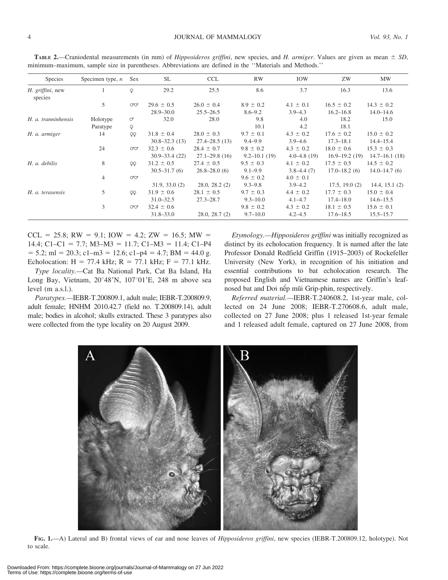| Species                     | Specimen type, $n$ | <b>Sex</b> | <b>SL</b>         | <b>CCL</b>        | <b>RW</b>        | IOW             | ZW                | MW                 |
|-----------------------------|--------------------|------------|-------------------|-------------------|------------------|-----------------|-------------------|--------------------|
| H. griffini, new<br>species |                    | Q          | 29.2              | 25.5              | 8.6              | 3.7             | 16.3              | 13.6               |
|                             | 5                  | OʻOʻ       | $29.6 \pm 0.5$    | $26.0 \pm 0.4$    | $8.9 \pm 0.2$    | $4.1 \pm 0.1$   | $16.5 \pm 0.2$    | $14.3 \pm 0.2$     |
|                             |                    |            | $28.9 - 30.0$     | $25.5 - 26.5$     | $8.6 - 9.2$      | $3.9 - 4.3$     | $16.2 - 16.8$     | $14.0 - 14.6$      |
| H. a. tranninhensis         | Holotype           | $\circ$    | 32.0              | 28.0              | 9.8              | 4.0             | 18.2              | 15.0               |
|                             | Paratype           | Q          |                   |                   | 10.1             | 4.2             | 18.1              |                    |
| H. a. armiger               | 14                 | QQ         | $31.8 \pm 0.4$    | $28.0 \pm 0.3$    | $9.7 \pm 0.1$    | $4.3 \pm 0.2$   | $17.6 \pm 0.2$    | $15.0 \pm 0.2$     |
|                             |                    |            | $30.8 - 32.3(13)$ | $27.4 - 28.5(13)$ | $9.4 - 9.9$      | $3.9 - 4.6$     | $17.3 - 18.1$     | $14.4 - 15.4$      |
|                             | 24                 | OʻOʻ       | $32.3 \pm 0.6$    | $28.4 \pm 0.7$    | $9.8 \pm 0.2$    | $4.3 \pm 0.2$   | $18.0 \pm 0.6$    | $15.3 \pm 0.3$     |
|                             |                    |            | $30.9 - 33.4(22)$ | $27.1 - 29.8(16)$ | $9.2 - 10.1(19)$ | $4.0 - 4.8(19)$ | $16.9 - 19.2(19)$ | $14.7 - 16.1$ (18) |
| H. a. debilis               | 8                  | QQ         | $31.2 \pm 0.5$    | $27.4 \pm 0.5$    | $9.5 \pm 0.3$    | $4.1 \pm 0.2$   | $17.5 \pm 0.5$    | $14.5 \pm 0.2$     |
|                             |                    |            | $30.5 - 31.7(6)$  | $26.8 - 28.0(6)$  | $9.1 - 9.9$      | $3.8 - 4.4(7)$  | $17.0 - 18.2(6)$  | $14.0 - 14.7(6)$   |
|                             | 4                  | OO'        |                   |                   | $9.6 \pm 0.2$    | $4.0 \pm 0.1$   |                   |                    |
|                             |                    |            | 31.9, 33.0(2)     | 28.0, 28.2(2)     | $9.3 - 9.8$      | $3.9 - 4.2$     | 17.5, 19.0(2)     | 14.4, 15.1(2)      |
| H. a. terasensis            | 5                  | QQ         | $31.9 \pm 0.6$    | $28.1 \pm 0.5$    | $9.7 \pm 0.3$    | $4.4 \pm 0.2$   | $17.7 \pm 0.3$    | $15.0 \pm 0.4$     |
|                             |                    |            | $31.0 - 32.5$     | $27.3 - 28.7$     | $9.3 - 10.0$     | $4.1 - 4.7$     | $17.4 - 18.0$     | $14.6 - 15.5$      |
|                             | 3                  | ಿ೦         | $32.4 \pm 0.6$    |                   | $9.8 \pm 0.2$    | $4.3 \pm 0.2$   | $18.1 \pm 0.5$    | $15.6 \pm 0.1$     |
|                             |                    |            | $31.8 - 33.0$     | 28.0, 28.7(2)     | $9.7 - 10.0$     | $4.2 - 4.5$     | $17.6 - 18.5$     | $15.5 - 15.7$      |

TABLE 2.—Craniodental measurements (in mm) of *Hipposideros griffini*, new species, and *H. armiger*. Values are given as mean  $\pm$  SD, minimum–maximum, sample size in parentheses. Abbreviations are defined in the ''Materials and Methods.''

 $CCL = 25.8$ ; RW = 9.1; IOW = 4.2; ZW = 16.5; MW = 14.4; C1–C1 = 7.7; M3–M3 = 11.7; C1–M3 = 11.4; C1–P4  $= 5.2$ ; ml  $= 20.3$ ; c1–m3  $= 12.6$ ; c1–p4  $= 4.7$ ; BM  $= 44.0$  g. Echolocation:  $H = 77.4$  kHz;  $R = 77.1$  kHz;  $F = 77.1$  kHz.

Type locality.—Cat Ba National Park, Cat Ba Island, Ha Long Bay, Vietnam,  $20^{\circ}48'N$ ,  $107^{\circ}01'E$ , 248 m above sea level (m a.s.l.).

Paratypes.—IEBR-T.200809.1, adult male; IEBR-T.200809.9, adult female; HNHM 2010.42.7 (field no. T.200809.14), adult male; bodies in alcohol; skulls extracted. These 3 paratypes also were collected from the type locality on 20 August 2009.

Etymology.—Hipposideros griffini was initially recognized as distinct by its echolocation frequency. It is named after the late Professor Donald Redfield Griffin (1915–2003) of Rockefeller University (New York), in recognition of his initiation and essential contributions to bat echolocation research. The proposed English and Vietnamese names are Griffin's leafnosed bat and Doi nếp mũi Grip-phin, respectively.

Referred material.—IEBR-T.240608.2, 1st-year male, collected on 24 June 2008; IEBR-T.270608.6, adult male, collected on 27 June 2008; plus 1 released 1st-year female and 1 released adult female, captured on 27 June 2008, from



FIG. 1.—A) Lateral and B) frontal views of ear and nose leaves of *Hipposideros griffini*, new species (IEBR-T.200809.12, holotype). Not to scale.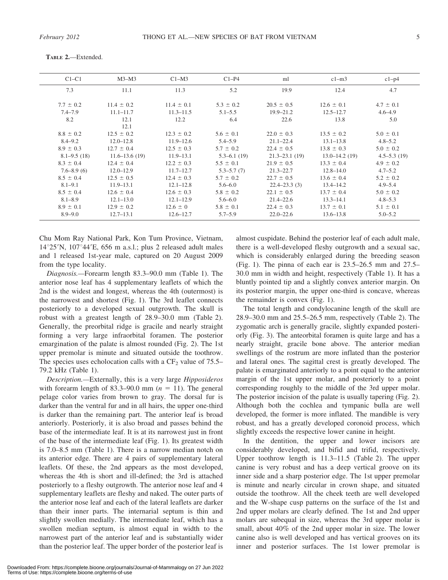| $C1-C1$         | $M3-M3$           | $C1-M3$        | $C1-P4$         | ml                | $c1-m3$           | $c1-p4$         |
|-----------------|-------------------|----------------|-----------------|-------------------|-------------------|-----------------|
| 7.3             | 11.1              | 11.3           | 5.2             | 19.9              | 12.4              | 4.7             |
| $7.7 \pm 0.2$   | $11.4 \pm 0.2$    | $11.4 \pm 0.1$ | $5.3 \pm 0.2$   | $20.5 \pm 0.5$    | $12.6 \pm 0.1$    | $4.7 \pm 0.1$   |
| $7.4 - 7.9$     | $11.1 - 11.7$     | $11.3 - 11.5$  | $5.1 - 5.5$     | $19.9 - 21.2$     | $12.5 - 12.7$     | $4.6 - 4.9$     |
| 8.2             | 12.1              | 12.2           | 6.4             | 22.6              | 13.8              | 5.0             |
|                 | 12.1              |                |                 |                   |                   |                 |
| $8.8 \pm 0.2$   | $12.5 \pm 0.2$    | $12.3 \pm 0.2$ | $5.6 \pm 0.1$   | $22.0 \pm 0.3$    | $13.5 \pm 0.2$    | $5.0 \pm 0.1$   |
| $8.4 - 9.2$     | $12.0 - 12.8$     | $11.9 - 12.6$  | $5.4 - 5.9$     | $21.1 - 22.4$     | $13.1 - 13.8$     | $4.8 - 5.2$     |
| $8.9 \pm 0.3$   | $12.7 \pm 0.4$    | $12.5 \pm 0.3$ | $5.7 \pm 0.2$   | $22.4 \pm 0.5$    | $13.8 \pm 0.3$    | $5.0 \pm 0.2$   |
| $8.1 - 9.5(18)$ | $11.6 - 13.6(19)$ | $11.9 - 13.1$  | $5.3 - 6.1(19)$ | $21.3 - 23.1(19)$ | $13.0 - 14.2(19)$ | $4.5 - 5.3(19)$ |
| $8.3 \pm 0.4$   | $12.4 \pm 0.4$    | $12.2 \pm 0.3$ | $5.5 \pm 0.1$   | $21.9 \pm 0.5$    | $13.3 \pm 0.4$    | $4.9 \pm 0.2$   |
| $7.6 - 8.9(6)$  | $12.0 - 12.9$     | $11.7 - 12.7$  | $5.3 - 5.7(7)$  | $21.3 - 22.7$     | $12.8 - 14.0$     | $4.7 - 5.2$     |
| $8.5 \pm 0.4$   | $12.5 \pm 0.5$    | $12.4 \pm 0.3$ | $5.7 \pm 0.2$   | $22.7 \pm 0.5$    | $13.6 \pm 0.4$    | $5.2 \pm 0.2$   |
| $8.1 - 9.1$     | $11.9 - 13.1$     | $12.1 - 12.8$  | $5.6 - 6.0$     | $22.4 - 23.3(3)$  | $13.4 - 14.2$     | $4.9 - 5.4$     |
| $8.5 \pm 0.4$   | $12.6 \pm 0.4$    | $12.6 \pm 0.3$ | $5.8 \pm 0.2$   | $22.1 \pm 0.5$    | $13.7 \pm 0.4$    | $5.0 \pm 0.2$   |
| $8.1 - 8.9$     | $12.1 - 13.0$     | $12.1 - 12.9$  | $5.6 - 6.0$     | $21.4 - 22.6$     | $13.3 - 14.1$     | $4.8 - 5.3$     |
| $8.9 \pm 0.1$   | $12.9 \pm 0.2$    | $12.6 \pm 0$   | $5.8 \pm 0.1$   | $22.4 \pm 0.3$    | $13.7 \pm 0.1$    | $5.1 \pm 0.1$   |
| $8.9 - 9.0$     | $12.7 - 13.1$     | $12.6 - 12.7$  | $5.7 - 5.9$     | $22.0 - 22.6$     | $13.6 - 13.8$     | $5.0 - 5.2$     |

TABLE 2.—Extended.

Chu Mom Ray National Park, Kon Tum Province, Vietnam,  $14^{\circ}25'$ N,  $107^{\circ}44'$ E, 656 m a.s.l.; plus 2 released adult males and 1 released 1st-year male, captured on 20 August 2009 from the type locality.

Diagnosis.—Forearm length 83.3–90.0 mm (Table 1). The anterior nose leaf has 4 supplementary leaflets of which the 2nd is the widest and longest, whereas the 4th (outermost) is the narrowest and shortest (Fig. 1). The 3rd leaflet connects posteriorly to a developed sexual outgrowth. The skull is robust with a greatest length of 28.9–30.0 mm (Table 2). Generally, the preorbital ridge is gracile and nearly straight forming a very large infraorbital foramen. The posterior emargination of the palate is almost rounded (Fig. 2). The 1st upper premolar is minute and situated outside the toothrow. The species uses echolocation calls with a  $CF_2$  value of 75.5– 79.2 kHz (Table 1).

Description.—Externally, this is a very large Hipposideros with forearm length of 83.3–90.0 mm  $(n = 11)$ . The general pelage color varies from brown to gray. The dorsal fur is darker than the ventral fur and in all hairs, the upper one-third is darker than the remaining part. The anterior leaf is broad anteriorly. Posteriorly, it is also broad and passes behind the base of the intermediate leaf. It is at its narrowest just in front of the base of the intermediate leaf (Fig. 1). Its greatest width is 7.0–8.5 mm (Table 1). There is a narrow median notch on its anterior edge. There are 4 pairs of supplementary lateral leaflets. Of these, the 2nd appears as the most developed, whereas the 4th is short and ill-defined; the 3rd is attached posteriorly to a fleshy outgrowth. The anterior nose leaf and 4 supplementary leaflets are fleshy and naked. The outer parts of the anterior nose leaf and each of the lateral leaflets are darker than their inner parts. The internarial septum is thin and slightly swollen medially. The intermediate leaf, which has a swollen median septum, is almost equal in width to the narrowest part of the anterior leaf and is substantially wider than the posterior leaf. The upper border of the posterior leaf is almost cuspidate. Behind the posterior leaf of each adult male, there is a well-developed fleshy outgrowth and a sexual sac, which is considerably enlarged during the breeding season (Fig. 1). The pinna of each ear is 23.5–26.5 mm and 27.5– 30.0 mm in width and height, respectively (Table 1). It has a bluntly pointed tip and a slightly convex anterior margin. On its posterior margin, the upper one-third is concave, whereas the remainder is convex (Fig. 1).

The total length and condylocanine length of the skull are 28.9–30.0 mm and 25.5–26.5 mm, respectively (Table 2). The zygomatic arch is generally gracile, slightly expanded posteriorly (Fig. 3). The anteorbital foramen is quite large and has a nearly straight, gracile bone above. The anterior median swellings of the rostrum are more inflated than the posterior and lateral ones. The sagittal crest is greatly developed. The palate is emarginated anteriorly to a point equal to the anterior margin of the 1st upper molar, and posteriorly to a point corresponding roughly to the middle of the 3rd upper molar. The posterior incision of the palate is usually tapering (Fig. 2). Although both the cochlea and tympanic bulla are well developed, the former is more inflated. The mandible is very robust, and has a greatly developed coronoid process, which slightly exceeds the respective lower canine in height.

In the dentition, the upper and lower incisors are considerably developed, and bifid and trifid, respectively. Upper toothrow length is 11.3–11.5 (Table 2). The upper canine is very robust and has a deep vertical groove on its inner side and a sharp posterior edge. The 1st upper premolar is minute and nearly circular in crown shape, and situated outside the toothrow. All the cheek teeth are well developed and the W-shape cusp patterns on the surface of the 1st and 2nd upper molars are clearly defined. The 1st and 2nd upper molars are subequal in size, whereas the 3rd upper molar is small, about 40% of the 2nd upper molar in size. The lower canine also is well developed and has vertical grooves on its inner and posterior surfaces. The 1st lower premolar is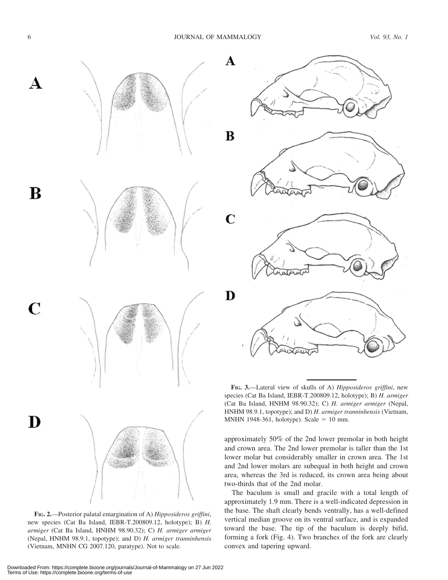A

 $\bf{B}$ 

D







FIG. 2.—Posterior palatal emargination of A) Hipposideros griffini, new species (Cat Ba Island, IEBR-T.200809.12, holotype); B) H. armiger (Cat Ba Island, HNHM 98.90.32); C) H. armiger armiger (Nepal, HNHM 98.9.1, topotype); and D) H. armiger tranninhensis (Vietnam, MNHN CG 2007.120, paratype). Not to scale.

FIG. 3.-Lateral view of skulls of A) Hipposideros griffini, new species (Cat Ba Island, IEBR-T.200809.12, holotype); B) H. armiger (Cat Ba Island, HNHM 98.90.32); C) H. armiger armiger (Nepal, HNHM 98.9.1, topotype); and D) H. armiger tranninhensis (Vietnam, MNHN 1948-361, holotype). Scale = 10 mm.

approximately 50% of the 2nd lower premolar in both height and crown area. The 2nd lower premolar is taller than the 1st lower molar but considerably smaller in crown area. The 1st and 2nd lower molars are subequal in both height and crown area, whereas the 3rd is reduced, its crown area being about two-thirds that of the 2nd molar.

The baculum is small and gracile with a total length of approximately 1.9 mm. There is a well-indicated depression in the base. The shaft clearly bends ventrally, has a well-defined vertical median groove on its ventral surface, and is expanded toward the base. The tip of the baculum is deeply bifid, forming a fork (Fig. 4). Two branches of the fork are clearly convex and tapering upward.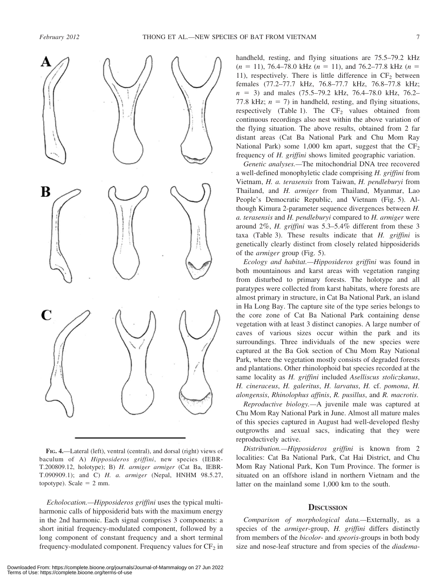

FIG. 4.—Lateral (left), ventral (central), and dorsal (right) views of baculum of A) Hipposideros griffini, new species (IEBR-T.200809.12, holotype); B) H. armiger armiger (Cat Ba, IEBR-T.090909.1); and C) H. a. armiger (Nepal, HNHM 98.5.27, topotype). Scale  $= 2$  mm.

Echolocation.—Hipposideros griffini uses the typical multiharmonic calls of hipposiderid bats with the maximum energy in the 2nd harmonic. Each signal comprises 3 components: a short initial frequency-modulated component, followed by a long component of constant frequency and a short terminal frequency-modulated component. Frequency values for  $CF_2$  in handheld, resting, and flying situations are 75.5–79.2 kHz  $(n = 11)$ , 76.4–78.0 kHz  $(n = 11)$ , and 76.2–77.8 kHz  $(n = 11)$ 11), respectively. There is little difference in  $CF<sub>2</sub>$  between females (77.2–77.7 kHz, 76.8–77.7 kHz, 76.8–77.8 kHz;  $n = 3$ ) and males (75.5–79.2 kHz, 76.4–78.0 kHz, 76.2– 77.8 kHz;  $n = 7$ ) in handheld, resting, and flying situations, respectively (Table 1). The  $CF<sub>2</sub>$  values obtained from continuous recordings also nest within the above variation of the flying situation. The above results, obtained from 2 far distant areas (Cat Ba National Park and Chu Mom Ray National Park) some 1,000 km apart, suggest that the  $CF_2$ frequency of H. griffini shows limited geographic variation.

Genetic analyses.—The mitochondrial DNA tree recovered a well-defined monophyletic clade comprising H. griffini from Vietnam, H. a. terasensis from Taiwan, H. pendleburyi from Thailand, and H. armiger from Thailand, Myanmar, Lao People's Democratic Republic, and Vietnam (Fig. 5). Although Kimura 2-parameter sequence divergences between H. a. terasensis and H. pendleburyi compared to H. armiger were around 2%, H. griffini was 5.3–5.4% different from these 3 taxa (Table 3). These results indicate that H. griffini is genetically clearly distinct from closely related hipposiderids of the armiger group (Fig. 5).

Ecology and habitat.—Hipposideros griffini was found in both mountainous and karst areas with vegetation ranging from disturbed to primary forests. The holotype and all paratypes were collected from karst habitats, where forests are almost primary in structure, in Cat Ba National Park, an island in Ha Long Bay. The capture site of the type series belongs to the core zone of Cat Ba National Park containing dense vegetation with at least 3 distinct canopies. A large number of caves of various sizes occur within the park and its surroundings. Three individuals of the new species were captured at the Ba Gok section of Chu Mom Ray National Park, where the vegetation mostly consists of degraded forests and plantations. Other rhinolophoid bat species recorded at the same locality as H. griffini included Aselliscus stoliczkanus, H. cineraceus, H. galeritus, H. larvatus, H. cf. pomona, H. alongensis, Rhinolophus affinis, R. pusillus, and R. macrotis.

Reproductive biology.—A juvenile male was captured at Chu Mom Ray National Park in June. Almost all mature males of this species captured in August had well-developed fleshy outgrowths and sexual sacs, indicating that they were reproductively active.

Distribution.—Hipposideros griffini is known from 2 localities: Cat Ba National Park, Cat Hai District, and Chu Mom Ray National Park, Kon Tum Province. The former is situated on an offshore island in northern Vietnam and the latter on the mainland some 1,000 km to the south.

# **DISCUSSION**

Comparison of morphological data.—Externally, as a species of the armiger-group, H. griffini differs distinctly from members of the bicolor- and speoris-groups in both body size and nose-leaf structure and from species of the *diadema*-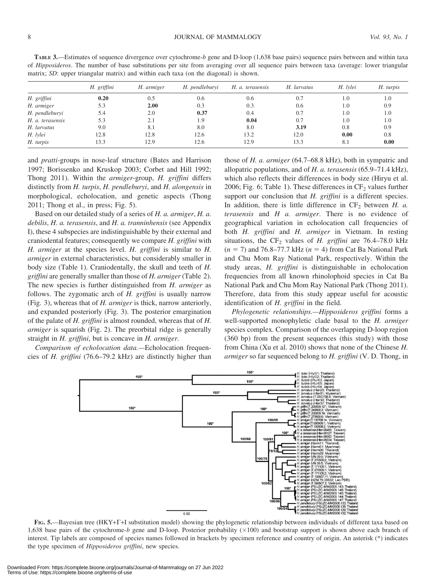| TABLE 3.—Estimates of sequence divergence over cytochrome-b gene and D-loop (1,638 base pairs) sequence pairs between and within taxa             |  |  |  |
|---------------------------------------------------------------------------------------------------------------------------------------------------|--|--|--|
| of <i>Hipposideros</i> . The number of base substitutions per site from averaging over all sequence pairs between taxa (average: lower triangular |  |  |  |
| matrix; SD: upper triangular matrix) and within each taxa (on the diagonal) is shown.                                                             |  |  |  |

|                  | H. griffini | H. armiger | H. pendleburyi | H. a. terasensis | H. larvatus | H. lylei | H. turpis |
|------------------|-------------|------------|----------------|------------------|-------------|----------|-----------|
| H. griffini      | 0.20        | 0.5        | 0.6            | 0.6              | 0.7         | 1.0      | 1.0       |
| H. armiger       | 5.3         | 2.00       | 0.3            | 0.3              | 0.6         | 1.0      | 0.9       |
| H. pendleburyi   | 5.4         | 2.0        | 0.37           | 0.4              | 0.7         | 1.0      | 1.0       |
| H. a. terasensis | 5.3         | 2.1        | 1.9            | 0.04             | 0.7         | 1.0      | 1.0       |
| H. larvatus      | 9.0         | 8.1        | 8.0            | 8.0              | 3.19        | 0.8      | 0.9       |
| H. lylei         | 12.8        | 12.8       | 12.6           | 13.2             | 12.0        | 0.00     | 0.8       |
| H. turpis        | 13.3        | 12.9       | 12.6           | 12.9             | 13.3        | 8.1      | 0.00      |

and pratti-groups in nose-leaf structure (Bates and Harrison 1997; Borissenko and Kruskop 2003; Corbet and Hill 1992; Thong 2011). Within the armiger-group, H. griffini differs distinctly from H. turpis, H. pendleburyi, and H. alongensis in morphological, echolocation, and genetic aspects (Thong 2011; Thong et al., in press; Fig. 5).

Based on our detailed study of a series of H. a. armiger, H. a. debilis, H. a. terasensis, and H. a. tranninhensis (see Appendix I), these 4 subspecies are indistinguishable by their external and craniodental features; consequently we compare H. griffini with H. armiger at the species level. H. griffini is similar to H. armiger in external characteristics, but considerably smaller in body size (Table 1). Craniodentally, the skull and teeth of H. griffini are generally smaller than those of H. armiger (Table 2). The new species is further distinguished from H. armiger as follows. The zygomatic arch of  $H$ . griffini is usually narrow (Fig. 3), whereas that of H. armiger is thick, narrow anteriorly, and expanded posteriorly (Fig. 3). The posterior emargination of the palate of H. griffini is almost rounded, whereas that of H. armiger is squarish (Fig. 2). The preorbital ridge is generally straight in H. griffini, but is concave in H. armiger.

Comparison of echolocation data.—Echolocation frequencies of H. griffini (76.6–79.2 kHz) are distinctly higher than those of H. a. armiger (64.7–68.8 kHz), both in sympatric and allopatric populations, and of H. a. terasensis (65.9–71.4 kHz), which also reflects their differences in body size (Hiryu et al. 2006; Fig. 6; Table 1). These differences in  $CF<sub>2</sub>$  values further support our conclusion that H. griffini is a different species. In addition, there is little difference in  $CF_2$  between H. a. terasensis and  $H$  a. armiger. There is no evidence of geographical variation in echolocation call frequencies of both H. griffini and H. armiger in Vietnam. In resting situations, the  $CF_2$  values of H. griffini are 76.4–78.0 kHz  $(n = 7)$  and 76.8–77.7 kHz  $(n = 4)$  from Cat Ba National Park and Chu Mom Ray National Park, respectively. Within the study areas, H. griffini is distinguishable in echolocation frequencies from all known rhinolophoid species in Cat Ba National Park and Chu Mom Ray National Park (Thong 2011). Therefore, data from this study appear useful for acoustic identification of H. griffini in the field.

Phylogenetic relationships.—Hipposideros griffini forms a well-supported monophyletic clade basal to the H. armiger species complex. Comparison of the overlapping D-loop region (360 bp) from the present sequences (this study) with those from China (Xu et al. 2010) shows that none of the Chinese H. armiger so far sequenced belong to H. griffini (V. D. Thong, in



FIG. 5.—Bayesian tree (HKY+T+I substitution model) showing the phylogenetic relationship between individuals of different taxa based on 1,638 base pairs of the cytochrome-b gene and D-loop. Posterior probability  $(\times 100)$  and bootstrap support is shown above each branch of interest. Tip labels are composed of species names followed in brackets by specimen reference and country of origin. An asterisk (\*) indicates the type specimen of Hipposideros griffini, new species.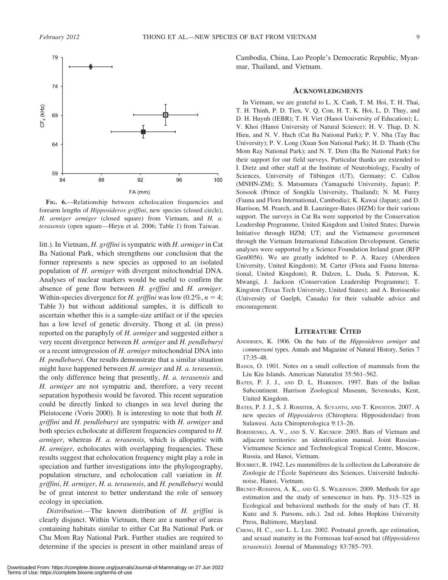

FIG. 6.—Relationship between echolocation frequencies and forearm lengths of Hipposideros griffini, new species (closed circle), H. armiger armiger (closed square) from Vietnam, and H. a. terasensis (open square—Hiryu et al. 2006; Table 1) from Taiwan.

litt.). In Vietnam, H. griffini is sympatric with H. armiger in Cat Ba National Park, which strengthens our conclusion that the former represents a new species as opposed to an isolated population of H. armiger with divergent mitochondrial DNA. Analyses of nuclear markers would be useful to confirm the absence of gene flow between H. griffini and H. armiger. Within-species divergence for H. griffini was low  $(0.2\%, n = 4;$ Table 3) but without additional samples, it is difficult to ascertain whether this is a sample-size artifact or if the species has a low level of genetic diversity. Thong et al. (in press) reported on the paraphyly of H. armiger and suggested either a very recent divergence between H. armiger and H. pendleburyi or a recent introgression of H. armiger mitochondrial DNA into H. pendleburyi. Our results demonstrate that a similar situation might have happened between H. armiger and H. a. terasensis, the only difference being that presently, H. a. terasensis and H. armiger are not sympatric and, therefore, a very recent separation hypothesis would be favored. This recent separation could be directly linked to changes in sea level during the Pleistocene (Voris 2000). It is interesting to note that both H. griffini and H. pendleburyi are sympatric with H. armiger and both species echolocate at different frequencies compared to H. armiger, whereas H. a. terasensis, which is allopatric with H. armiger, echolocates with overlapping frequencies. These results suggest that echolocation frequency might play a role in speciation and further investigations into the phylogeography, population structure, and echolocation call variation in H. griffini, H. armiger, H. a. terasensis, and H. pendleburyi would be of great interest to better understand the role of sensory ecology in speciation.

Distribution.—The known distribution of H. griffini is clearly disjunct. Within Vietnam, there are a number of areas containing habitats similar to either Cat Ba National Park or Chu Mom Ray National Park. Further studies are required to determine if the species is present in other mainland areas of Cambodia, China, Lao People's Democratic Republic, Myanmar, Thailand, and Vietnam.

#### **ACKNOWLEDGMENTS**

In Vietnam, we are grateful to L. X. Canh, T. M. Hoi, T. H. Thai, T. H. Thinh, P. D. Tien, V. Q. Con, H. T. K. Hoi, L. D. Thuy, and D. H. Huynh (IEBR); T. H. Viet (Hanoi University of Education); L. V. Khoi (Hanoi University of Natural Science); H. V. Thap, D. N. Hieu, and N. V. Hach (Cat Ba National Park); P. V. Nha (Tay Bac University); P. V. Long (Xuan Son National Park); H. D. Thanh (Chu Mom Ray National Park); and N. T. Dien (Ba Be National Park) for their support for our field surveys. Particular thanks are extended to I. Dietz and other staff at the Institute of Neurobiology, Faculty of Sciences, University of Tübingen (UT), Germany; C. Callou (MNHN-ZM); S. Matsumura (Yamaguchi University, Japan); P. Soisook (Prince of Songkla University, Thailand); N. M. Furey (Fauna and Flora International, Cambodia); K. Kawai (Japan); and D. Harrison, M. Pearch, and B. Lanzinger-Bates (HZM) for their various support. The surveys in Cat Ba were supported by the Conservation Leadership Programme, United Kingdom and United States; Darwin Initiative through HZM; UT; and the Vietnamese government through the Vietnam International Education Development. Genetic analyses were supported by a Science Foundation Ireland grant (RFP Gen0056). We are greatly indebted to P. A. Racey (Aberdeen University, United Kingdom); M. Carter (Flora and Fauna International, United Kingdom); R. Dalzen, L. Duda, S. Paterson, K. Mwangi, J. Jackson (Conservation Leadership Programme); T. Kingston (Texas Tech University, United States); and A. Borissenko (University of Guelph, Canada) for their valuable advice and encouragement.

## LITERATURE CITED

- ANDERSEN, K. 1906. On the bats of the Hipposideros armiger and commersoni types. Annals and Magazine of Natural History, Series 7 17:35–48.
- BANGS, O. 1901. Notes on a small collection of mammals from the Liu Kiu Islands. American Naturalist 35:561–562.
- BATES, P. J. J., AND D. L. HARRISON. 1997. Bats of the Indian Subcontinent. Harrison Zoological Museum, Sevenoaks, Kent, United Kingdom.
- BATES, P. J. J., S. J. ROSSITER, A. SUYANTO, AND T. KINGSTON. 2007. A new species of Hipposideros (Chiroptera: Hipposideridae) from Sulawesi. Acta Chiropterologica 9:13–26.
- BORISSENKO, A. V., AND S. V. KRUSKOP. 2003. Bats of Vietnam and adjacent territories: an identification manual. Joint Russian– Vietnamese Science and Technological Tropical Centre, Moscow, Russia, and Hanoi, Vietnam.
- BOURRET, R. 1942. Les mammifères de la collection du Laboratoire de Zoologie de l'École Supérieure des Sciences. Université Indochinoise, Hanoi, Vietnam.
- BRUNET-ROSSINNI, A. K., AND G. S. WILKINSON. 2009. Methods for age estimation and the study of senescence in bats. Pp. 315–325 in Ecological and behavioral methods for the study of bats (T. H. Kunz and S. Parsons, eds.). 2nd ed. Johns Hopkins University Press, Baltimore, Maryland.
- CHENG, H. C., AND L. L. LEE. 2002. Postnatal growth, age estimation, and sexual maturity in the Formosan leaf-nosed bat (Hipposideros terasensis). Journal of Mammalogy 83:785–793.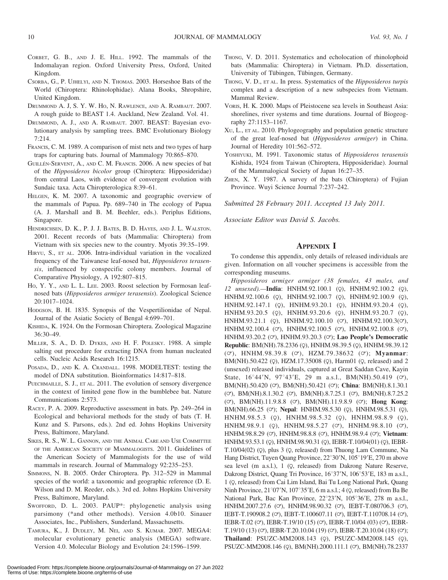- CORBET, G. B., AND J. E. HILL. 1992. The mammals of the Indomalayan region. Oxford University Press, Oxford, United Kingdom.
- CSORBA, G., P. UJHELYI, AND N. THOMAS. 2003. Horseshoe Bats of the World (Chiroptera: Rhinolophidae). Alana Books, Shropshire, United Kingdom.
- DRUMMOND A. J, S. Y. W. HO, N. RAWLENCE, AND A. RAMBAUT. 2007. A rough guide to BEAST 1.4. Auckland, New Zealand. Vol. 41.
- DRUMMOND, A. J., AND A. RAMBAUT. 2007. BEAST: Bayesian evolutionary analysis by sampling trees. BMC Evolutionary Biology 7:214.
- FRANCIS, C. M. 1989. A comparison of mist nets and two types of harp traps for capturing bats. Journal of Mammalogy 70:865–870.
- GUILLÉN-SERVENT, A., AND C. M. FRANCIS. 2006. A new species of bat of the Hipposideros bicolor group (Chiroptera: Hipposideridae) from central Laos, with evidence of convergent evolution with Sundaic taxa. Acta Chiropterologica 8:39–61.
- HELGEN, K. M. 2007. A taxonomic and geographic overview of the mammals of Papua. Pp. 689–740 in The ecology of Papua (A. J. Marshall and B. M. Beehler, eds.). Periplus Editions, Singapore.
- HENDRICHSEN, D. K., P. J. J. BATES, B. D. HAYES, AND J. L. WALSTON. 2001. Recent records of bats (Mammalia: Chiroptera) from Vietnam with six species new to the country. Myotis 39:35–199.
- HIRYU, S., ET AL. 2006. Intra-individual variation in the vocalized frequency of the Taiwanese leaf-nosed bat, Hipposideros terasensis, influenced by conspecific colony members. Journal of Comparative Physiology, A 192:807–815.
- HO, Y. Y., AND L. L. LEE. 2003. Roost selection by Formosan leafnosed bats (Hipposideros armiger terasensis). Zoological Science 20:1017–1024.
- HODGSON, B. H. 1835. Synopsis of the Vespertilionidae of Nepal. Journal of the Asiatic Society of Bengal 4:699–701.
- KISHIDA, K. 1924. On the Formosan Chiroptera. Zoological Magazine 36:30–49.
- MILLER, S. A., D. D. DYKES, AND H. F. POLESKY. 1988. A simple salting out procedure for extracting DNA from human nucleated cells. Nucleic Acids Research 16:1215.
- POSADA, D., AND K. A. CRANDALL. 1998. MODELTEST: testing the model of DNA substitution. Bioinformatics 14:817–818.
- PUECHMAILLE, S. J., ET AL. 2011. The evolution of sensory divergence in the context of limited gene flow in the bumblebee bat. Nature Communications 2:573.
- RACEY, P. A. 2009. Reproductive assessment in bats. Pp. 249–264 in Ecological and behavioral methods for the study of bats (T. H. Kunz and S. Parsons, eds.). 2nd ed. Johns Hopkins University Press, Baltimore, Maryland.
- SIKES, R. S., W. L. GANNON, AND THE ANIMAL CARE AND USE COMMITTEE OF THE AMERICAN SOCIETY OF MAMMALOGISTS. 2011. Guidelines of the American Society of Mammalogists for the use of wild mammals in research. Journal of Mammalogy 92:235–253.
- SIMMONS, N. B. 2005. Order Chiroptera. Pp. 312–529 in Mammal species of the world: a taxonomic and geographic reference (D. E. Wilson and D. M. Reeder, eds.). 3rd ed. Johns Hopkins University Press, Baltimore, Maryland.
- SWOFFORD, D. L. 2003. PAUP\*: phylogenetic analysis using parsimony (\*and other methods). Version 4.0b10. Sinauer Associates, Inc., Publishers, Sunderland, Massachusetts.
- TAMURA, K., J. DUDLEY, M. NEI, AND S. KUMAR. 2007. MEGA4: molecular evolutionary genetic analysis (MEGA) software. Version 4.0. Molecular Biology and Evolution 24:1596–1599.
- THONG, V. D. 2011. Systematics and echolocation of rhinolophoid bats (Mammalia: Chiroptera) in Vietnam. Ph.D. dissertation, University of Tübingen, Tübingen, Germany.
- THONG, V. D., ET AL. In press. Systematics of the *Hipposideros turpis* complex and a description of a new subspecies from Vietnam. Mammal Review.
- VORIS, H. K. 2000. Maps of Pleistocene sea levels in Southeast Asia: shorelines, river systems and time durations. Journal of Biogeography 27:1153–1167.
- XU, L., ET AL. 2010. Phylogeography and population genetic structure of the great leaf-nosed bat (Hipposideros armiger) in China. Journal of Heredity 101:562–572.
- YOSHIYUKI, M. 1991. Taxonomic status of Hipposideros terasensis Kishida, 1924 from Taiwan (Chiroptera, Hipposideridae). Journal of the Mammalogical Society of Japan 16:27–35.
- ZHEN, X. Y. 1987. A survey of the bats (Chiroptera) of Fujian Province. Wuyi Science Journal 7:237–242.

Submitted 28 February 2011. Accepted 13 July 2011.

Associate Editor was David S. Jacobs.

# **APPENDIX** I

To condense this appendix, only details of released individuals are given. Information on all voucher specimens is accessible from the corresponding museums.

Hipposideros armiger armiger (38 females, 43 males, and 12 unsexed).-India: HNHM.92.100.1 (Q), HNHM.92.100.2 (Q), HNHM.92.100.6 (Q), HNHM.92.100.7 (Q), HNHM.92.100.9 (Q), HNHM.92.147.1 (Q), HNHM.93.20.1 (Q), HNHM.93.20.4 (Q), HNHM.93.20.5 (Q), HNHM.93.20.6 (Q), HNHM.93.20.7 (Q),  $HNHM.93.21.1$  (Q),  $HNHM.92.100.10$  ( $\heartsuit$ ),  $HNHM.92.100.3(\heartsuit)$ ,  $HNHM.92.100.4$  ( $\sigma$ ),  $HNHM.92.100.5$  ( $\sigma$ ),  $HNHM.92.100.8$  ( $\sigma$ ), HNHM.93.20.2 (o), HNHM.93.20.3 (o); Lao People's Democratic Republic: BM(NH).78.2336 (Q), HNHM.98.39.5 (Q), HNHM.98.39.12 ( $\circ$ ), HNHM.98.39.8 ( $\circ$ ), HZM.79.38632 ( $\circ$ ); Myanmar: BM(NH).50.422 (Q), HZM.17.35008 (Q), Harm01 (Q, released) and 2 (unsexed) released individuals, captured at Great Saddan Cave, Kayin State,  $16^{\circ}44'$ N,  $97^{\circ}43'$ E, 29 m a.s.l., BM(NH).50.419 ( $\sigma$ ), BM(NH).50.420 (O'), BM(NH).50.421 (O'); China: BM(NH).8.1.30.1  $(\circ)$ , BM(NH).8.1.30.2  $(\circ)$ , BM(NH).8.7.25.1  $(\circ)$ , BM(NH).8.7.25.2 ( $\circ$ ), BM(NH).11.9.8.8 ( $\circ$ ), BM(NH).11.9.8.9 ( $\circ$ ); Hong Kong: BM(NH).66.25 (O'); Nepal: HNHM.98.5.30 (Q), HNHM.98.5.31 (Q), HNHM.98.5.3 (Q), HNHM.98.5.32 (Q), HNHM.98.8.9 (Q),  $HNHM.98.9.1$  (Q),  $HNHM.98.5.27$  (O'),  $HNHM.98.8.10$  (O'), HNHM.98.8.29 (O'), HNHM.98.8.8 (O'), HNHM.98.9.4 (O'); Vietnam: HNHM.93.53.1 (Q), HNHM.98.90.31 (Q), IEBR-T.10/04(01) (Q), IEBR-T.10/04(02) (Q), plus 3 (Q, released) from Thuong Lam Commune, Na Hang District, Tuyen Quang Province, 22°30'N, 105°19'E, 270 m above sea level (m a.s.l.), 1 (Q, released) from Dakrong Nature Reserve, Dakrong District, Quang Tri Province, 16°37'N, 106°53'E, 183 m a.s.l., 1 (Q, released) from Cai Lim Island, Bai Tu Long National Park, Quang Ninh Province,  $21^{\circ}07'N$ ,  $107^{\circ}35'E$ , 6 m a.s.l.; 4 (Q, released) from Ba Be National Park, Bac Kan Province, 22°23'N, 105°36'E, 278 m a.s.l., HNHM.2007.27.6 ( $\circ$ ), HNHM.98.90.32 ( $\circ$ ), IEBT-T.080706.3 ( $\circ$ ), IEBT-T.190908.2 ( $\circ$ ), IEBT-T.100607.11 ( $\circ$ ), IEBT-T.110708.14 ( $\circ$ ), IEBR-T.02 ( $\circ$ ), IEBR-T.19/10 (15) ( $\circ$ ), IEBR-T.10/04 (03) ( $\circ$ ), IEBR-T.19/10 (13) (O'), IEBR-T.20.10.04 (19) (O'), IEBR-T.20.10.04 (18) (O'); Thailand: PSUZC-MM2008.143 (Q), PSUZC-MM2008.145 (Q), PSUZC-MM2008.146 (Q), BM(NH).2000.111.1 (O'), BM(NH).78.2337